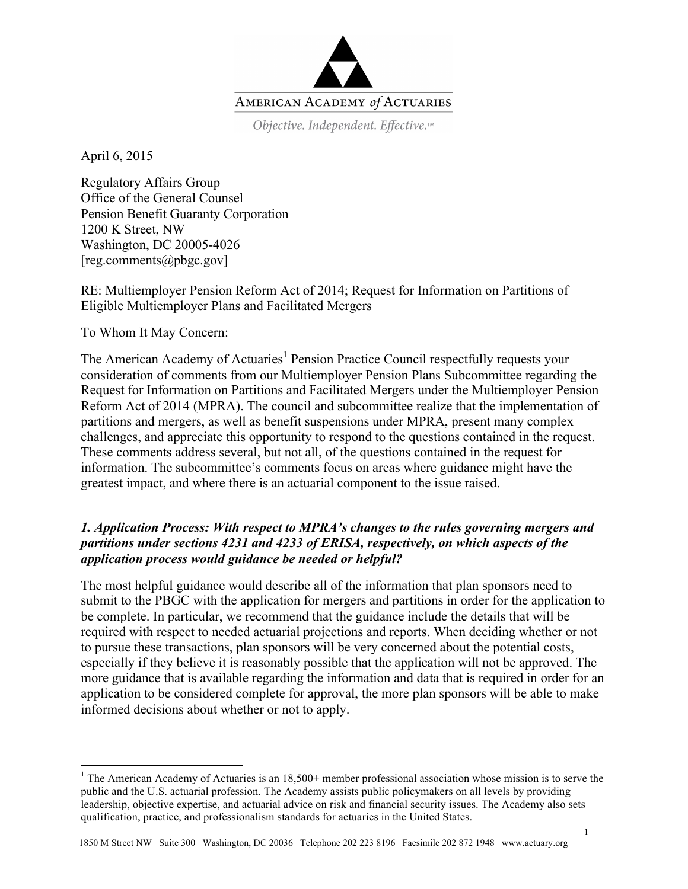

Objective. Independent. Effective.™

April 6, 2015

Regulatory Affairs Group Office of the General Counsel Pension Benefit Guaranty Corporation 1200 K Street, NW Washington, DC 20005-4026  $[reg. comments@pbgc.gov]$ 

RE: Multiemployer Pension Reform Act of 2014; Request for Information on Partitions of Eligible Multiemployer Plans and Facilitated Mergers

To Whom It May Concern:

The American Academy of Actuaries<sup>1</sup> Pension Practice Council respectfully requests your consideration of comments from our Multiemployer Pension Plans Subcommittee regarding the Request for Information on Partitions and Facilitated Mergers under the Multiemployer Pension Reform Act of 2014 (MPRA). The council and subcommittee realize that the implementation of partitions and mergers, as well as benefit suspensions under MPRA, present many complex challenges, and appreciate this opportunity to respond to the questions contained in the request. These comments address several, but not all, of the questions contained in the request for information. The subcommittee's comments focus on areas where guidance might have the greatest impact, and where there is an actuarial component to the issue raised.

# *1. Application Process: With respect to MPRA's changes to the rules governing mergers and partitions under sections 4231 and 4233 of ERISA, respectively, on which aspects of the application process would guidance be needed or helpful?*

The most helpful guidance would describe all of the information that plan sponsors need to submit to the PBGC with the application for mergers and partitions in order for the application to be complete. In particular, we recommend that the guidance include the details that will be required with respect to needed actuarial projections and reports. When deciding whether or not to pursue these transactions, plan sponsors will be very concerned about the potential costs, especially if they believe it is reasonably possible that the application will not be approved. The more guidance that is available regarding the information and data that is required in order for an application to be considered complete for approval, the more plan sponsors will be able to make informed decisions about whether or not to apply.

<sup>&</sup>lt;sup>1</sup> The American Academy of Actuaries is an  $18,500+$  member professional association whose mission is to serve the public and the U.S. actuarial profession. The Academy assists public policymakers on all levels by providing leadership, objective expertise, and actuarial advice on risk and financial security issues. The Academy also sets qualification, practice, and professionalism standards for actuaries in the United States.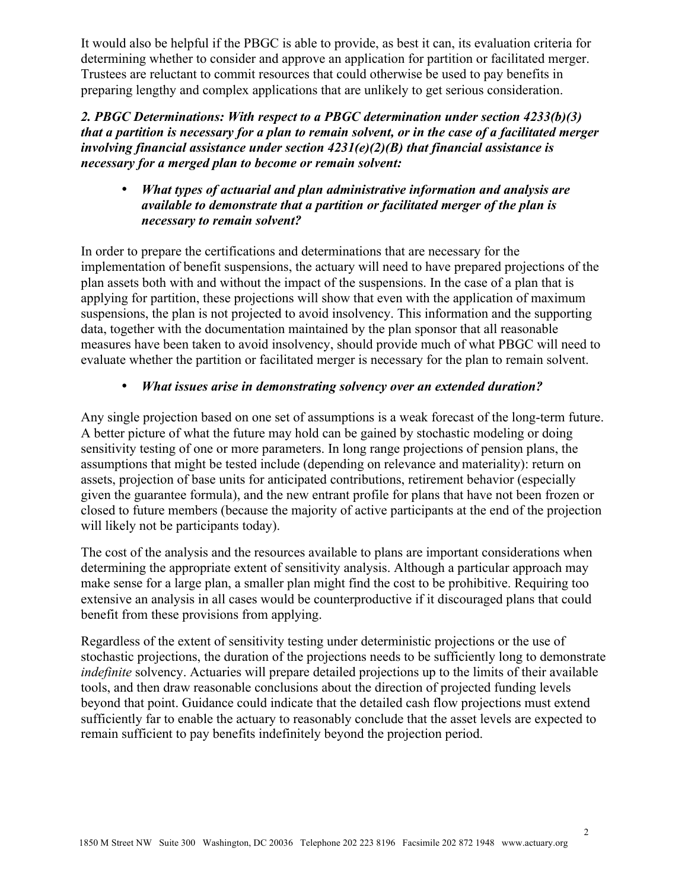It would also be helpful if the PBGC is able to provide, as best it can, its evaluation criteria for determining whether to consider and approve an application for partition or facilitated merger. Trustees are reluctant to commit resources that could otherwise be used to pay benefits in preparing lengthy and complex applications that are unlikely to get serious consideration.

*2. PBGC Determinations: With respect to a PBGC determination under section 4233(b)(3) that a partition is necessary for a plan to remain solvent, or in the case of a facilitated merger involving financial assistance under section 4231(e)(2)(B) that financial assistance is necessary for a merged plan to become or remain solvent:*

# • *What types of actuarial and plan administrative information and analysis are available to demonstrate that a partition or facilitated merger of the plan is necessary to remain solvent?*

In order to prepare the certifications and determinations that are necessary for the implementation of benefit suspensions, the actuary will need to have prepared projections of the plan assets both with and without the impact of the suspensions. In the case of a plan that is applying for partition, these projections will show that even with the application of maximum suspensions, the plan is not projected to avoid insolvency. This information and the supporting data, together with the documentation maintained by the plan sponsor that all reasonable measures have been taken to avoid insolvency, should provide much of what PBGC will need to evaluate whether the partition or facilitated merger is necessary for the plan to remain solvent.

# • *What issues arise in demonstrating solvency over an extended duration?*

Any single projection based on one set of assumptions is a weak forecast of the long-term future. A better picture of what the future may hold can be gained by stochastic modeling or doing sensitivity testing of one or more parameters. In long range projections of pension plans, the assumptions that might be tested include (depending on relevance and materiality): return on assets, projection of base units for anticipated contributions, retirement behavior (especially given the guarantee formula), and the new entrant profile for plans that have not been frozen or closed to future members (because the majority of active participants at the end of the projection will likely not be participants today).

The cost of the analysis and the resources available to plans are important considerations when determining the appropriate extent of sensitivity analysis. Although a particular approach may make sense for a large plan, a smaller plan might find the cost to be prohibitive. Requiring too extensive an analysis in all cases would be counterproductive if it discouraged plans that could benefit from these provisions from applying.

Regardless of the extent of sensitivity testing under deterministic projections or the use of stochastic projections, the duration of the projections needs to be sufficiently long to demonstrate *indefinite* solvency. Actuaries will prepare detailed projections up to the limits of their available tools, and then draw reasonable conclusions about the direction of projected funding levels beyond that point. Guidance could indicate that the detailed cash flow projections must extend sufficiently far to enable the actuary to reasonably conclude that the asset levels are expected to remain sufficient to pay benefits indefinitely beyond the projection period.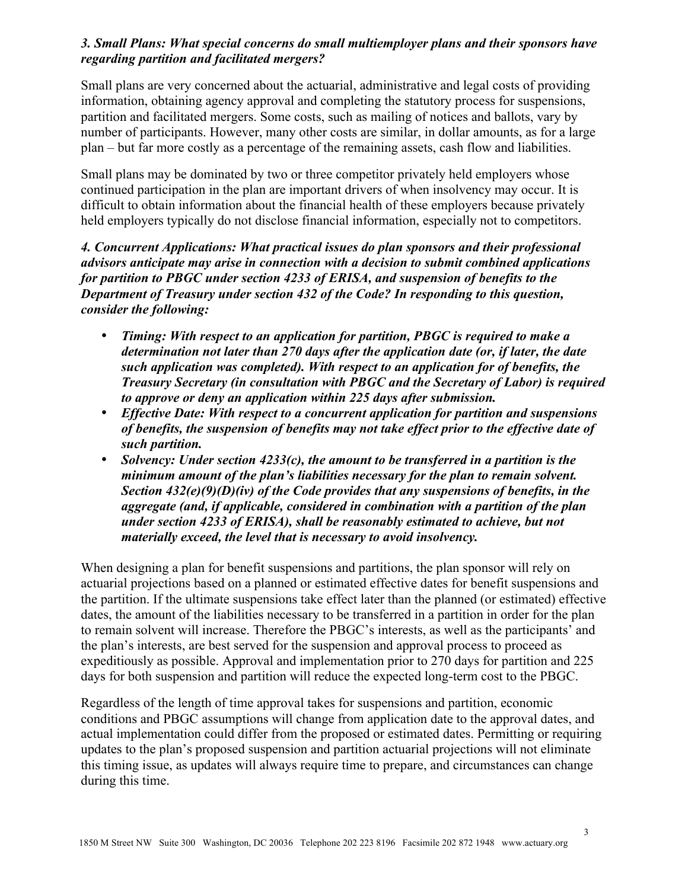### *3. Small Plans: What special concerns do small multiemployer plans and their sponsors have regarding partition and facilitated mergers?*

Small plans are very concerned about the actuarial, administrative and legal costs of providing information, obtaining agency approval and completing the statutory process for suspensions, partition and facilitated mergers. Some costs, such as mailing of notices and ballots, vary by number of participants. However, many other costs are similar, in dollar amounts, as for a large plan – but far more costly as a percentage of the remaining assets, cash flow and liabilities.

Small plans may be dominated by two or three competitor privately held employers whose continued participation in the plan are important drivers of when insolvency may occur. It is difficult to obtain information about the financial health of these employers because privately held employers typically do not disclose financial information, especially not to competitors.

*4. Concurrent Applications: What practical issues do plan sponsors and their professional advisors anticipate may arise in connection with a decision to submit combined applications for partition to PBGC under section 4233 of ERISA, and suspension of benefits to the Department of Treasury under section 432 of the Code? In responding to this question, consider the following:* 

- *Timing: With respect to an application for partition, PBGC is required to make a determination not later than 270 days after the application date (or, if later, the date such application was completed). With respect to an application for of benefits, the Treasury Secretary (in consultation with PBGC and the Secretary of Labor) is required to approve or deny an application within 225 days after submission.*
- *Effective Date: With respect to a concurrent application for partition and suspensions of benefits, the suspension of benefits may not take effect prior to the effective date of such partition.*
- *Solvency: Under section 4233(c), the amount to be transferred in a partition is the minimum amount of the plan's liabilities necessary for the plan to remain solvent. Section 432(e)(9)(D)(iv) of the Code provides that any suspensions of benefits, in the aggregate (and, if applicable, considered in combination with a partition of the plan under section 4233 of ERISA), shall be reasonably estimated to achieve, but not materially exceed, the level that is necessary to avoid insolvency.*

When designing a plan for benefit suspensions and partitions, the plan sponsor will rely on actuarial projections based on a planned or estimated effective dates for benefit suspensions and the partition. If the ultimate suspensions take effect later than the planned (or estimated) effective dates, the amount of the liabilities necessary to be transferred in a partition in order for the plan to remain solvent will increase. Therefore the PBGC's interests, as well as the participants' and the plan's interests, are best served for the suspension and approval process to proceed as expeditiously as possible. Approval and implementation prior to 270 days for partition and 225 days for both suspension and partition will reduce the expected long-term cost to the PBGC.

Regardless of the length of time approval takes for suspensions and partition, economic conditions and PBGC assumptions will change from application date to the approval dates, and actual implementation could differ from the proposed or estimated dates. Permitting or requiring updates to the plan's proposed suspension and partition actuarial projections will not eliminate this timing issue, as updates will always require time to prepare, and circumstances can change during this time.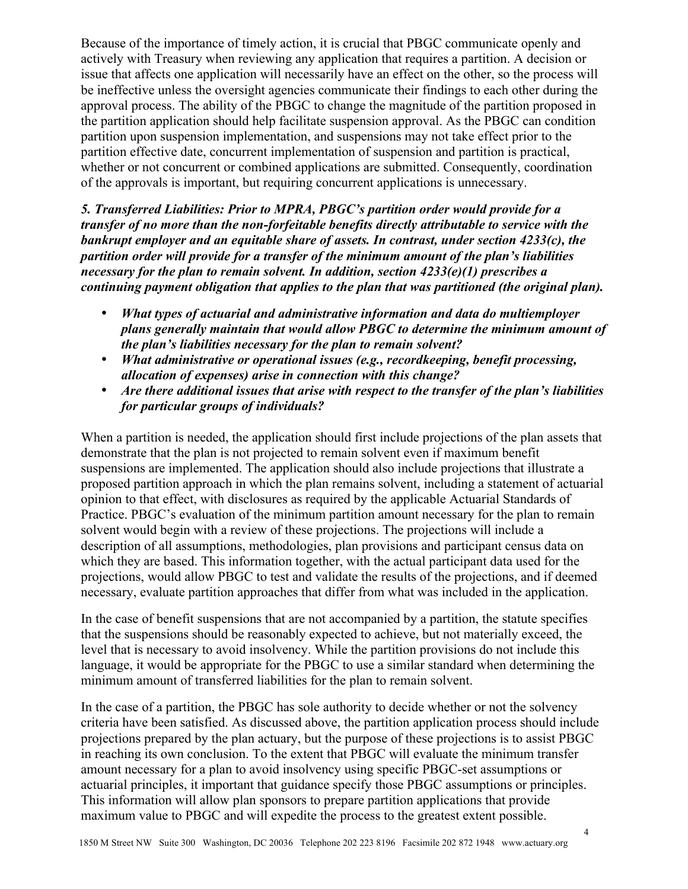Because of the importance of timely action, it is crucial that PBGC communicate openly and actively with Treasury when reviewing any application that requires a partition. A decision or issue that affects one application will necessarily have an effect on the other, so the process will be ineffective unless the oversight agencies communicate their findings to each other during the approval process. The ability of the PBGC to change the magnitude of the partition proposed in the partition application should help facilitate suspension approval. As the PBGC can condition partition upon suspension implementation, and suspensions may not take effect prior to the partition effective date, concurrent implementation of suspension and partition is practical, whether or not concurrent or combined applications are submitted. Consequently, coordination of the approvals is important, but requiring concurrent applications is unnecessary.

*5. Transferred Liabilities: Prior to MPRA, PBGC's partition order would provide for a transfer of no more than the non-forfeitable benefits directly attributable to service with the bankrupt employer and an equitable share of assets. In contrast, under section 4233(c), the partition order will provide for a transfer of the minimum amount of the plan's liabilities necessary for the plan to remain solvent. In addition, section 4233(e)(1) prescribes a continuing payment obligation that applies to the plan that was partitioned (the original plan).*

- *What types of actuarial and administrative information and data do multiemployer plans generally maintain that would allow PBGC to determine the minimum amount of the plan's liabilities necessary for the plan to remain solvent?*
- *What administrative or operational issues (e.g., recordkeeping, benefit processing, allocation of expenses) arise in connection with this change?*
- *Are there additional issues that arise with respect to the transfer of the plan's liabilities for particular groups of individuals?*

When a partition is needed, the application should first include projections of the plan assets that demonstrate that the plan is not projected to remain solvent even if maximum benefit suspensions are implemented. The application should also include projections that illustrate a proposed partition approach in which the plan remains solvent, including a statement of actuarial opinion to that effect, with disclosures as required by the applicable Actuarial Standards of Practice. PBGC's evaluation of the minimum partition amount necessary for the plan to remain solvent would begin with a review of these projections. The projections will include a description of all assumptions, methodologies, plan provisions and participant census data on which they are based. This information together, with the actual participant data used for the projections, would allow PBGC to test and validate the results of the projections, and if deemed necessary, evaluate partition approaches that differ from what was included in the application.

In the case of benefit suspensions that are not accompanied by a partition, the statute specifies that the suspensions should be reasonably expected to achieve, but not materially exceed, the level that is necessary to avoid insolvency. While the partition provisions do not include this language, it would be appropriate for the PBGC to use a similar standard when determining the minimum amount of transferred liabilities for the plan to remain solvent.

In the case of a partition, the PBGC has sole authority to decide whether or not the solvency criteria have been satisfied. As discussed above, the partition application process should include projections prepared by the plan actuary, but the purpose of these projections is to assist PBGC in reaching its own conclusion. To the extent that PBGC will evaluate the minimum transfer amount necessary for a plan to avoid insolvency using specific PBGC-set assumptions or actuarial principles, it important that guidance specify those PBGC assumptions or principles. This information will allow plan sponsors to prepare partition applications that provide maximum value to PBGC and will expedite the process to the greatest extent possible.